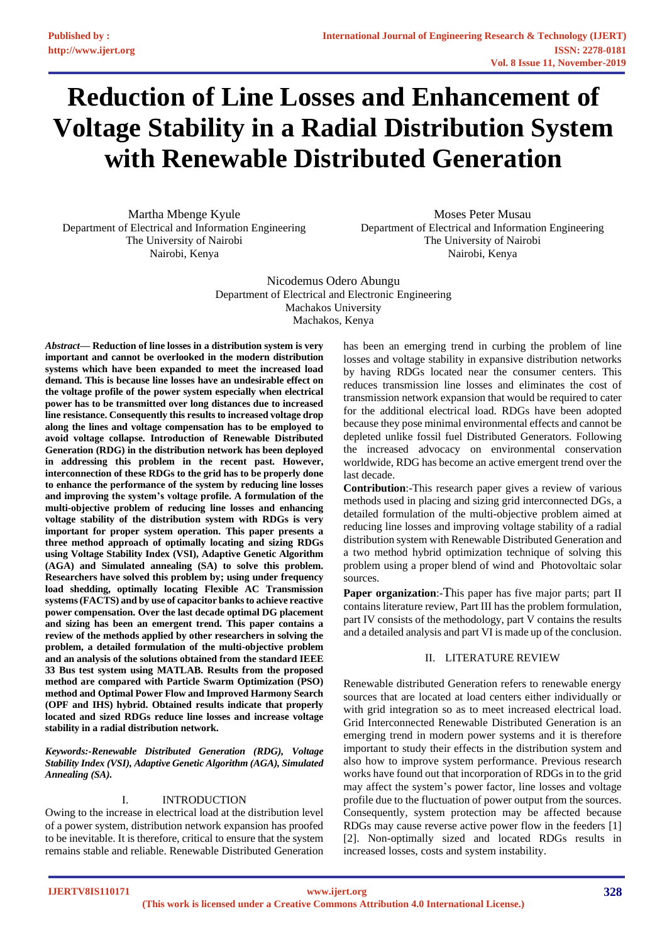# **Reduction of Line Losses and Enhancement of Voltage Stability in a Radial Distribution System with Renewable Distributed Generation**

Martha Mbenge Kyule Department of Electrical and Information Engineering The University of Nairobi Nairobi, Kenya

Moses Peter Musau Department of Electrical and Information Engineering The University of Nairobi Nairobi, Kenya

Nicodemus Odero Abungu Department of Electrical and Electronic Engineering Machakos University Machakos, Kenya

*Abstract***— Reduction of line losses in a distribution system is very important and cannot be overlooked in the modern distribution systems which have been expanded to meet the increased load demand. This is because line losses have an undesirable effect on the voltage profile of the power system especially when electrical power has to be transmitted over long distances due to increased line resistance. Consequently this results to increased voltage drop along the lines and voltage compensation has to be employed to avoid voltage collapse. Introduction of Renewable Distributed Generation (RDG) in the distribution network has been deployed in addressing this problem in the recent past. However, interconnection of these RDGs to the grid has to be properly done to enhance the performance of the system by reducing line losses and improving the system's voltage profile. A formulation of the multi-objective problem of reducing line losses and enhancing voltage stability of the distribution system with RDGs is very important for proper system operation. This paper presents a three method approach of optimally locating and sizing RDGs using Voltage Stability Index (VSI), Adaptive Genetic Algorithm (AGA) and Simulated annealing (SA) to solve this problem. Researchers have solved this problem by; using under frequency load shedding, optimally locating Flexible AC Transmission systems (FACTS) and by use of capacitor banks to achieve reactive power compensation. Over the last decade optimal DG placement and sizing has been an emergent trend. This paper contains a review of the methods applied by other researchers in solving the problem, a detailed formulation of the multi-objective problem and an analysis of the solutions obtained from the standard IEEE 33 Bus test system using MATLAB. Results from the proposed method are compared with Particle Swarm Optimization (PSO) method and Optimal Power Flow and Improved Harmony Search (OPF and IHS) hybrid. Obtained results indicate that properly located and sized RDGs reduce line losses and increase voltage stability in a radial distribution network.**

*Keywords:-Renewable Distributed Generation (RDG), Voltage Stability Index (VSI), Adaptive Genetic Algorithm (AGA), Simulated Annealing (SA).*

# I. INTRODUCTION

Owing to the increase in electrical load at the distribution level of a power system, distribution network expansion has proofed to be inevitable. It is therefore, critical to ensure that the system remains stable and reliable. Renewable Distributed Generation

has been an emerging trend in curbing the problem of line losses and voltage stability in expansive distribution networks by having RDGs located near the consumer centers. This reduces transmission line losses and eliminates the cost of transmission network expansion that would be required to cater for the additional electrical load. RDGs have been adopted because they pose minimal environmental effects and cannot be depleted unlike fossil fuel Distributed Generators. Following the increased advocacy on environmental conservation worldwide, RDG has become an active emergent trend over the last decade.

**Contribution**:-This research paper gives a review of various methods used in placing and sizing grid interconnected DGs, a detailed formulation of the multi-objective problem aimed at reducing line losses and improving voltage stability of a radial distribution system with Renewable Distributed Generation and a two method hybrid optimization technique of solving this problem using a proper blend of wind and Photovoltaic solar sources.

**Paper organization:**-This paper has five major parts; part II contains literature review, Part III has the problem formulation, part IV consists of the methodology, part V contains the results and a detailed analysis and part VI is made up of the conclusion.

# II. LITERATURE REVIEW

Renewable distributed Generation refers to renewable energy sources that are located at load centers either individually or with grid integration so as to meet increased electrical load. Grid Interconnected Renewable Distributed Generation is an emerging trend in modern power systems and it is therefore important to study their effects in the distribution system and also how to improve system performance. Previous research works have found out that incorporation of RDGs in to the grid may affect the system's power factor, line losses and voltage profile due to the fluctuation of power output from the sources. Consequently, system protection may be affected because RDGs may cause reverse active power flow in the feeders [1] [2]. Non-optimally sized and located RDGs results in increased losses, costs and system instability.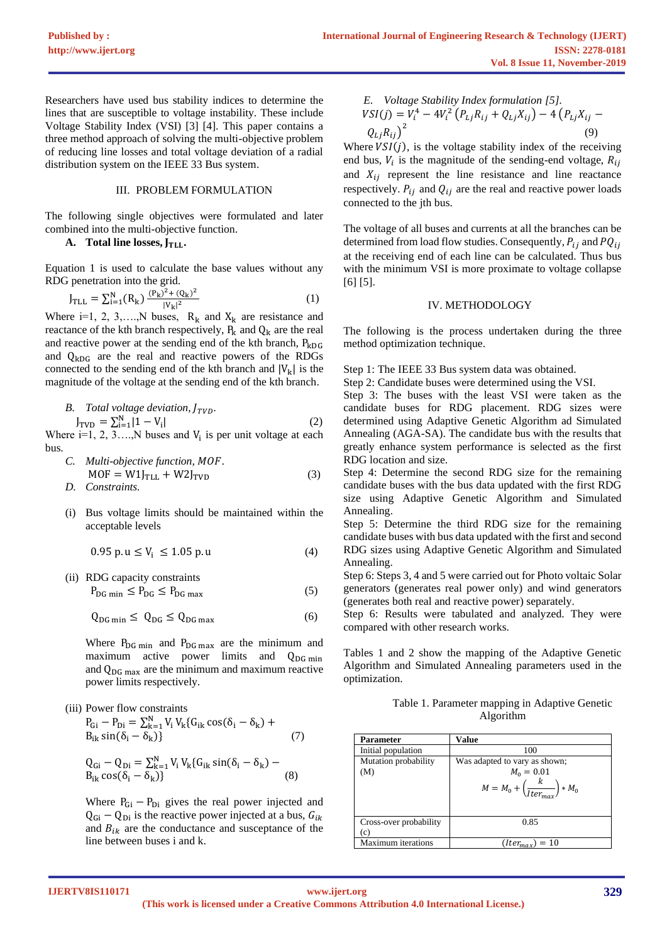Researchers have used bus stability indices to determine the lines that are susceptible to voltage instability. These include Voltage Stability Index (VSI) [3] [4]. This paper contains a three method approach of solving the multi-objective problem of reducing line losses and total voltage deviation of a radial distribution system on the IEEE 33 Bus system.

## III. PROBLEM FORMULATION

The following single objectives were formulated and later combined into the multi-objective function.

# **A.** Total line losses,  $J_{TLL}$ .

Equation 1 is used to calculate the base values without any RDG penetration into the grid.

$$
J_{\text{TLL}} = \sum_{i=1}^{N} (R_k) \frac{(P_k)^2 + (Q_k)^2}{|V_k|^2}
$$
 (1)

Where i=1, 2, 3,….,N buses,  $R_k$  and  $X_k$  are resistance and reactance of the kth branch respectively,  $P_k$  and  $Q_k$  are the real and reactive power at the sending end of the kth branch,  $P_{kDG}$ and  $Q_{kDG}$  are the real and reactive powers of the RDGs connected to the sending end of the kth branch and  $|V_k|$  is the magnitude of the voltage at the sending end of the kth branch.

B. Total voltage deviation, 
$$
J_{TVD}
$$
.  
\n
$$
J_{TVD} = \sum_{i=1}^{N} |1 - V_i|
$$
\n(2)

Where  $i=1, 2, 3, \ldots, N$  buses and  $V_i$  is per unit voltage at each bus.

C. Multi-objective function, *MOF*.  
\n
$$
MOF = W1_{\text{TLL}} + W2_{\text{JVD}}
$$
\nD. Constraints. (3)

(i) Bus voltage limits should be maintained within the acceptable levels

0.95 p. u  $\leq V_i \leq 1.05$  p. u (4)

(ii) RDG capacity constraints  $P_{DG \min} \leq P_{DG} \leq P_{DG \max}$  (5)

 $Q_{\text{DG min}} \leq Q_{\text{DG}} \leq Q_{\text{DG max}}$  (6)

Where  $P_{DG \text{min}}$  and  $P_{DG \text{max}}$  are the minimum and maximum active power limits and  $Q_{DG \min}$ and  $Q_{DG\ max}$  are the minimum and maximum reactive power limits respectively.

- (iii) Power flow constraints
	- $P_{Gi} P_{Di} = \sum_{k=1}^{N} V_i V_k (G_{ik} \cos(\delta_i \delta_k) +$  $B_{ik} \sin(\delta_i - \delta_k)$ } (7)

$$
Q_{Gi} - Q_{Di} = \sum_{k=1}^{N} V_i V_k \{ G_{ik} \sin(\delta_i - \delta_k) - B_{ik} \cos(\delta_i - \delta_k) \}
$$
\n(8)

Where  $P_{Gi} - P_{Di}$  gives the real power injected and  $Q_{Gi} - Q_{Di}$  is the reactive power injected at a bus,  $G_{ik}$ and  $B_{ik}$  are the conductance and susceptance of the line between buses i and k.

E. Voltage Stability Index formulation [5].  
\n
$$
VSI(j) = V_t^4 - 4V_t^2 (P_{Lj}R_{ij} + Q_{Lj}X_{ij}) - 4 (P_{Lj}X_{ij} - Q_{Lj}R_{ij})^2
$$
\n(9)

Where  $VSI(j)$ , is the voltage stability index of the receiving end bus,  $V_i$  is the magnitude of the sending-end voltage,  $R_{ij}$ and  $X_{ij}$  represent the line resistance and line reactance respectively.  $P_{ij}$  and  $Q_{ij}$  are the real and reactive power loads connected to the jth bus.

The voltage of all buses and currents at all the branches can be determined from load flow studies. Consequently,  $P_{ij}$  and  $PQ_{ij}$ at the receiving end of each line can be calculated. Thus bus with the minimum VSI is more proximate to voltage collapse [6] [5].

## IV. METHODOLOGY

The following is the process undertaken during the three method optimization technique.

Step 1: The IEEE 33 Bus system data was obtained.

Step 2: Candidate buses were determined using the VSI.

Step 3: The buses with the least VSI were taken as the candidate buses for RDG placement. RDG sizes were determined using Adaptive Genetic Algorithm ad Simulated Annealing (AGA-SA). The candidate bus with the results that greatly enhance system performance is selected as the first RDG location and size.

Step 4: Determine the second RDG size for the remaining candidate buses with the bus data updated with the first RDG size using Adaptive Genetic Algorithm and Simulated Annealing.

Step 5: Determine the third RDG size for the remaining candidate buses with bus data updated with the first and second RDG sizes using Adaptive Genetic Algorithm and Simulated Annealing.

Step 6: Steps 3, 4 and 5 were carried out for Photo voltaic Solar generators (generates real power only) and wind generators (generates both real and reactive power) separately.

Step 6: Results were tabulated and analyzed. They were compared with other research works.

Tables 1 and 2 show the mapping of the Adaptive Genetic Algorithm and Simulated Annealing parameters used in the optimization.

| Table 1. Parameter mapping in Adaptive Genetic |
|------------------------------------------------|
| <b>Algorithm</b>                               |

| Parameter                    | Value                                                                                                |
|------------------------------|------------------------------------------------------------------------------------------------------|
| Initial population           | 100                                                                                                  |
| Mutation probability<br>(M)  | Was adapted to vary as shown;<br>$M_0 = 0.01$<br>$M = M_0 + \left(\frac{k}{Iter_{max}}\right) * M_0$ |
| Cross-over probability<br>C) | 0.85                                                                                                 |
| <b>Maximum</b> iterations    | $(Itermax) = 10$                                                                                     |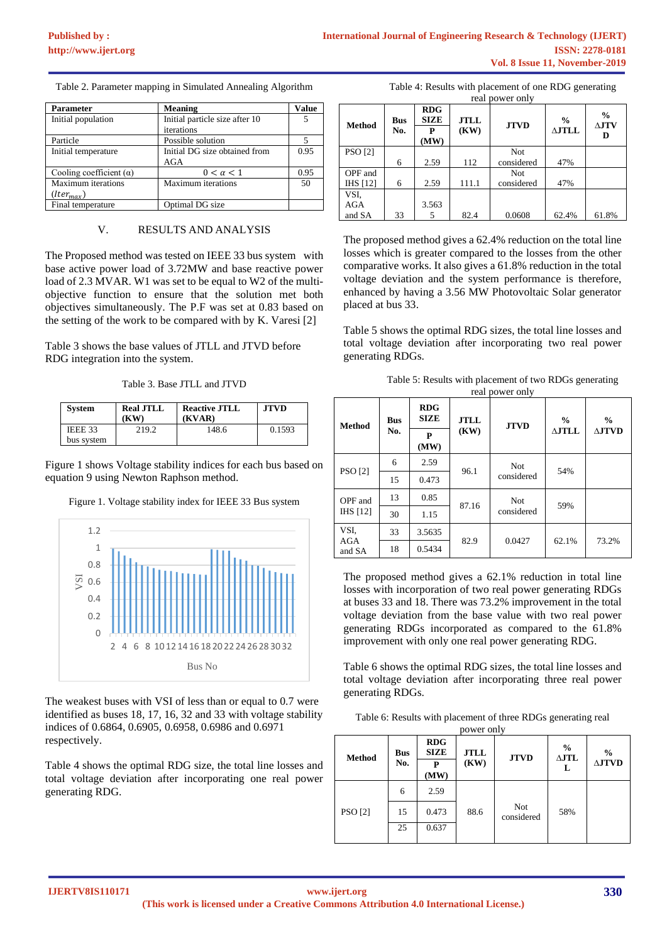Table 2. Parameter mapping in Simulated Annealing Algorithm

| <b>Parameter</b>               | <b>Meaning</b>                 | <b>Value</b> |
|--------------------------------|--------------------------------|--------------|
| Initial population             | Initial particle size after 10 |              |
|                                | iterations                     |              |
| Particle                       | Possible solution              |              |
| Initial temperature            | Initial DG size obtained from  | 0.95         |
|                                | AGA                            |              |
| Cooling coefficient $(\alpha)$ | $0 < \alpha < 1$               | 0.95         |
| <b>Maximum</b> iterations      | <b>Maximum</b> iterations      | 50           |
| $(lter_{max})$                 |                                |              |
| Final temperature              | Optimal DG size                |              |

#### V. RESULTS AND ANALYSIS

The Proposed method was tested on IEEE 33 bus system with base active power load of 3.72MW and base reactive power load of 2.3 MVAR. W1 was set to be equal to W2 of the multiobjective function to ensure that the solution met both objectives simultaneously. The P.F was set at 0.83 based on the setting of the work to be compared with by K. Varesi [2]

Table 3 shows the base values of JTLL and JTVD before RDG integration into the system.

Table 3. Base JTLL and JTVD

| <b>System</b> | <b>Real JTLL</b><br>(KW) | <b>Reactive JTLL</b><br>(KVAR) | <b>JTVD</b> |
|---------------|--------------------------|--------------------------------|-------------|
| IEEE 33       | 219.2                    | 148.6                          | 0.1593      |
| bus system    |                          |                                |             |

Figure 1 shows Voltage stability indices for each bus based on equation 9 using Newton Raphson method.



Figure 1. Voltage stability index for IEEE 33 Bus system

The weakest buses with VSI of less than or equal to 0.7 were identified as buses 18, 17, 16, 32 and 33 with voltage stability indices of 0.6864, 0.6905, 0.6958, 0.6986 and 0.6971 respectively.

Table 4 shows the optimal RDG size, the total line losses and total voltage deviation after incorporating one real power generating RDG.

| <b>Method</b>   | <b>Bus</b><br>No. | <b>RDG</b><br><b>SIZE</b><br>P<br>(MW) | <b>JTLL</b><br><b>JTVD</b><br>(KW) |            | $\frac{0}{0}$<br>$\triangle$ JTLL | $\frac{0}{0}$<br>$\Delta$ JTV<br>D |
|-----------------|-------------------|----------------------------------------|------------------------------------|------------|-----------------------------------|------------------------------------|
| <b>PSO</b> [2]  |                   |                                        |                                    | Not        |                                   |                                    |
|                 | 6                 | 2.59                                   | 112                                | considered | 47%                               |                                    |
| OPF and         |                   |                                        |                                    | Not        |                                   |                                    |
| <b>IHS</b> [12] | 6                 | 2.59                                   | 111.1                              | considered | 47%                               |                                    |
| VSI.            |                   |                                        |                                    |            |                                   |                                    |
| AGA             |                   | 3.563                                  |                                    |            |                                   |                                    |
| and SA          | 33                | 5                                      | 82.4                               | 0.0608     | 62.4%                             | 61.8%                              |

Table 4: Results with placement of one RDG generating

The proposed method gives a 62.4% reduction on the total line losses which is greater compared to the losses from the other comparative works. It also gives a 61.8% reduction in the total voltage deviation and the system performance is therefore, enhanced by having a 3.56 MW Photovoltaic Solar generator placed at bus 33.

Table 5 shows the optimal RDG sizes, the total line losses and total voltage deviation after incorporating two real power generating RDGs.

| Table 5: Results with placement of two RDGs generating |  |
|--------------------------------------------------------|--|
| real nower only                                        |  |

| $\sim$<br>PQ N Q L Q L I |            |                           |             |                              |                  |                  |
|--------------------------|------------|---------------------------|-------------|------------------------------|------------------|------------------|
| <b>Method</b>            | <b>Bus</b> | <b>RDG</b><br><b>SIZE</b> | <b>JTLL</b> | $\frac{0}{0}$<br><b>JTVD</b> | $\frac{0}{0}$    |                  |
|                          | No.        | P<br>(MW)                 | (KW)        |                              | $\triangle$ JTLL | $\triangle$ JTVD |
|                          | 6          | 2.59                      | 96.1        | Not                          | 54%              |                  |
| PSO [2]                  | 15         | 0.473                     |             | considered                   |                  |                  |
| OPF and                  | 13         | 0.85                      | 87.16       | Not                          |                  |                  |
| IHS [12]                 | 30         | 1.15                      |             | considered                   | 59%              |                  |
| VSI.<br>AGA              | 33         | 3.5635                    | 82.9        | 0.0427                       | 62.1%            | 73.2%            |
| and SA                   | 18         | 0.5434                    |             |                              |                  |                  |

The proposed method gives a 62.1% reduction in total line losses with incorporation of two real power generating RDGs at buses 33 and 18. There was 73.2% improvement in the total voltage deviation from the base value with two real power generating RDGs incorporated as compared to the 61.8% improvement with only one real power generating RDG.

Table 6 shows the optimal RDG sizes, the total line losses and total voltage deviation after incorporating three real power generating RDGs.

| Table 6: Results with placement of three RDGs generating real |
|---------------------------------------------------------------|
| power only                                                    |

| <b>Method</b>  | <b>Bus</b><br>No. | <b>RDG</b><br><b>SIZE</b><br>P<br>(MW) | <b>JTLL</b><br>(KW) | <b>JTVD</b>              | $\frac{6}{9}$<br>$\Delta$ JTL<br>L | $\frac{0}{0}$<br>$\Delta$ JTVD |
|----------------|-------------------|----------------------------------------|---------------------|--------------------------|------------------------------------|--------------------------------|
|                | 6                 | 2.59                                   |                     |                          |                                    |                                |
| <b>PSO</b> [2] | 15                | 0.473                                  | 88.6                | <b>Not</b><br>considered | 58%                                |                                |
|                | 25                | 0.637                                  |                     |                          |                                    |                                |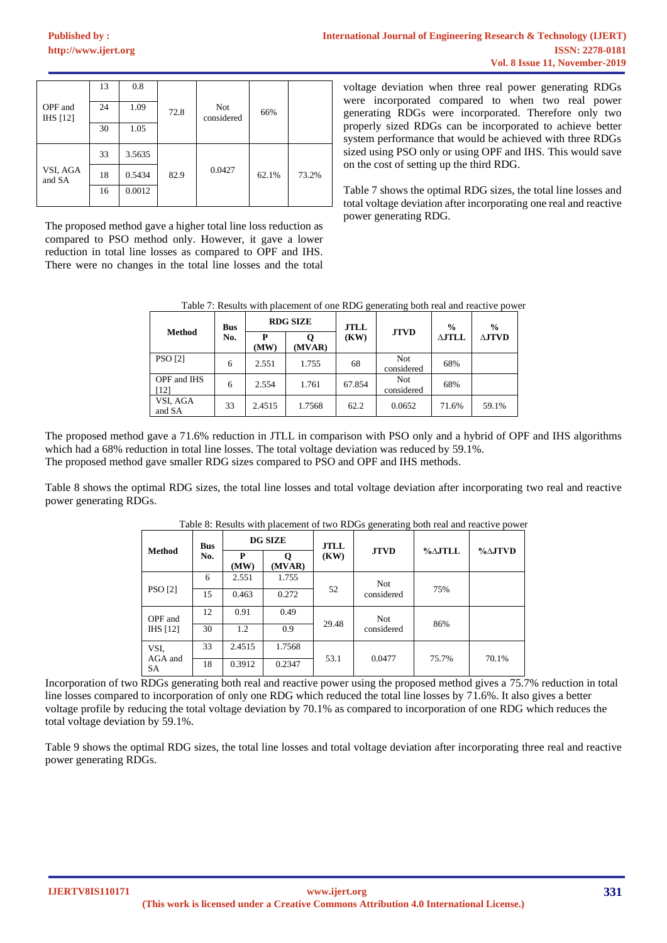| OPF and<br><b>IHS</b> [12] | 13<br>24<br>30 | 0.8<br>1.09<br>1.05 | 72.8 | <b>Not</b><br>considered | 66%   |       |
|----------------------------|----------------|---------------------|------|--------------------------|-------|-------|
|                            | 33             | 3.5635              |      |                          |       |       |
| VSI, AGA<br>and SA         | 18             | 0.5434              | 82.9 | 0.0427                   | 62.1% | 73.2% |
|                            | 16             | 0.0012              |      |                          |       |       |

The proposed method gave a higher total line loss reduction as compared to PSO method only. However, it gave a lower reduction in total line losses as compared to OPF and IHS. There were no changes in the total line losses and the total

voltage deviation when three real power generating RDGs were incorporated compared to when two real power generating RDGs were incorporated. Therefore only two properly sized RDGs can be incorporated to achieve better system performance that would be achieved with three RDGs sized using PSO only or using OPF and IHS. This would save on the cost of setting up the third RDG.

Table 7 shows the optimal RDG sizes, the total line losses and total voltage deviation after incorporating one real and reactive power generating RDG.

| Table 7: Results with placement of one RDG generating both real and reactive power |  |  |  |
|------------------------------------------------------------------------------------|--|--|--|
|                                                                                    |  |  |  |

|                     | <b>Bus</b> | <b>RDG SIZE</b> |        | <b>JTLL</b> |                          | $\frac{0}{0}$    | $\frac{6}{9}$ |
|---------------------|------------|-----------------|--------|-------------|--------------------------|------------------|---------------|
| <b>Method</b>       | No.        | P<br>(MW)       | (MVAR) | (KW)        | <b>JTVD</b>              | $\Delta$ J $TLL$ | $\Delta$ JTVD |
| <b>PSO</b> [2]      | 6          | 2.551           | 1.755  | 68          | <b>Not</b><br>considered | 68%              |               |
| OPF and IHS<br>[12] | 6          | 2.554           | 1.761  | 67.854      | Not<br>considered        | 68%              |               |
| VSI, AGA<br>and SA  | 33         | 2.4515          | 1.7568 | 62.2        | 0.0652                   | 71.6%            | 59.1%         |

The proposed method gave a 71.6% reduction in JTLL in comparison with PSO only and a hybrid of OPF and IHS algorithms which had a 68% reduction in total line losses. The total voltage deviation was reduced by 59.1%. The proposed method gave smaller RDG sizes compared to PSO and OPF and IHS methods.

Table 8 shows the optimal RDG sizes, the total line losses and total voltage deviation after incorporating two real and reactive power generating RDGs.

|                            | <b>Bus</b><br>No. | <b>DG SIZE</b> |        | <b>JTLL</b> | -- o---<br>-- 0          | $\% \triangle$ JTLL | $\% \triangle$ JTVD |
|----------------------------|-------------------|----------------|--------|-------------|--------------------------|---------------------|---------------------|
| <b>Method</b>              |                   |                |        |             |                          |                     |                     |
|                            |                   | P<br>(MW)      | (MVAR) | (KW)        | <b>JTVD</b>              |                     |                     |
| <b>PSO</b> [2]             | 6                 | 2.551          | 1.755  | 52          | <b>Not</b><br>considered | 75%                 |                     |
|                            | 15                | 0.463          | 0.272  |             |                          |                     |                     |
| OPF and<br><b>IHS</b> [12] | 12                | 0.91           | 0.49   | 29.48       | <b>Not</b><br>considered | 86%                 |                     |
|                            | 30                | 1.2            | 0.9    |             |                          |                     |                     |
| VSI.<br>AGA and<br>SA      | 33                | 2.4515         | 1.7568 | 53.1        | 0.0477                   | 75.7%               | 70.1%               |
|                            | 18                | 0.3912         | 0.2347 |             |                          |                     |                     |

Table 8: Results with placement of two RDGs generating both real and reactive power

Incorporation of two RDGs generating both real and reactive power using the proposed method gives a 75.7% reduction in total line losses compared to incorporation of only one RDG which reduced the total line losses by 71.6%. It also gives a better voltage profile by reducing the total voltage deviation by 70.1% as compared to incorporation of one RDG which reduces the total voltage deviation by 59.1%.

Table 9 shows the optimal RDG sizes, the total line losses and total voltage deviation after incorporating three real and reactive power generating RDGs.